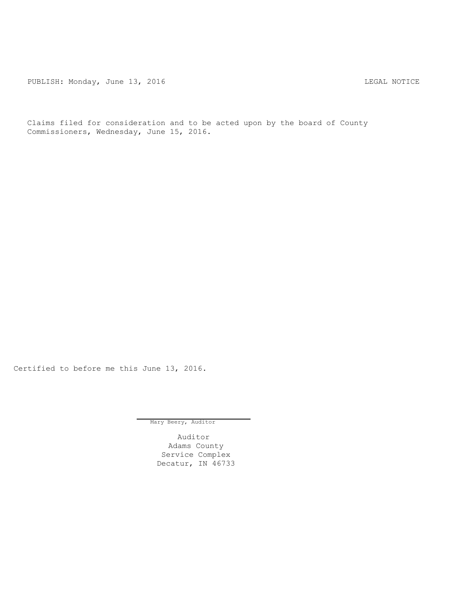PUBLISH: Monday, June 13, 2016 CHANGER AND THE MOTICE

Claims filed for consideration and to be acted upon by the board of County Commissioners, Wednesday, June 15, 2016.

Certified to before me this June 13, 2016.

Mary Beery, Auditor

Auditor Adams County Service Complex Decatur, IN 46733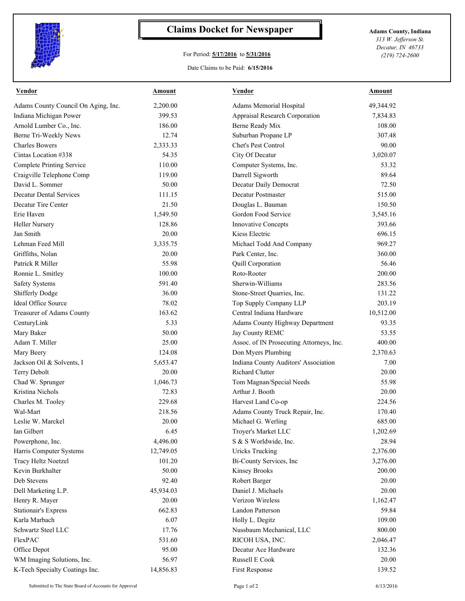

## **Claims Docket for Newspaper Adams County, Indiana**

## For Period: **5/17/2016** to **5/31/2016**

*313 W. Jefferson St. Decatur, IN 46733 (219) 724-2600*

## Date Claims to be Paid: **6/15/2016**

| <b>Vendor</b>                       | Amount    | Vendor                                   | Amount    |
|-------------------------------------|-----------|------------------------------------------|-----------|
| Adams County Council On Aging, Inc. | 2,200.00  | Adams Memorial Hospital                  | 49,344.92 |
| Indiana Michigan Power              | 399.53    | Appraisal Research Corporation           | 7,834.83  |
| Arnold Lumber Co., Inc.             | 186.00    | Berne Ready Mix                          | 108.00    |
| Berne Tri-Weekly News               | 12.74     | Suburban Propane LP                      | 307.48    |
| <b>Charles Bowers</b>               | 2,333.33  | Chet's Pest Control                      | 90.00     |
| Cintas Location #338                | 54.35     | City Of Decatur                          | 3,020.07  |
| <b>Complete Printing Service</b>    | 110.00    | Computer Systems, Inc.                   | 53.32     |
| Craigville Telephone Comp           | 119.00    | Darrell Sigworth                         | 89.64     |
| David L. Sommer                     | 50.00     | Decatur Daily Democrat                   | 72.50     |
| <b>Decatur Dental Services</b>      | 111.15    | Decatur Postmaster                       | 515.00    |
| Decatur Tire Center                 | 21.50     | Douglas L. Bauman                        | 150.50    |
| Erie Haven                          | 1,549.50  | Gordon Food Service                      | 3,545.16  |
| <b>Heller Nursery</b>               | 128.86    | <b>Innovative Concepts</b>               | 393.66    |
| Jan Smith                           | 20.00     | Kiess Electric                           | 696.15    |
| Lehman Feed Mill                    | 3,335.75  | Michael Todd And Company                 | 969.27    |
| Griffiths, Nolan                    | 20.00     | Park Center, Inc.                        | 360.00    |
| Patrick R Miller                    | 55.98     | Quill Corporation                        | 56.46     |
| Ronnie L. Smitley                   | 100.00    | Roto-Rooter                              | 200.00    |
| <b>Safety Systems</b>               | 591.40    | Sherwin-Williams                         | 283.56    |
| Shifferly Dodge                     | 36.00     | Stone-Street Quarries, Inc.              | 131.22    |
| Ideal Office Source                 | 78.02     | Top Supply Company LLP                   | 203.19    |
| Treasurer of Adams County           | 163.62    | Central Indiana Hardware                 | 10,512.00 |
| CenturyLink                         | 5.33      | Adams County Highway Department          | 93.35     |
| Mary Baker                          | 50.00     | Jay County REMC                          | 53.55     |
| Adam T. Miller                      | 25.00     | Assoc. of IN Prosecuting Attorneys, Inc. | 400.00    |
| Mary Beery                          | 124.08    | Don Myers Plumbing                       | 2,370.63  |
| Jackson Oil & Solvents, I           | 5,653.47  | Indiana County Auditors' Association     | 7.00      |
| Terry Debolt                        | 20.00     | <b>Richard Clutter</b>                   | 20.00     |
| Chad W. Sprunger                    | 1,046.73  | Tom Magnan/Special Needs                 | 55.98     |
| Kristina Nichols                    | 72.83     | Arthur J. Booth                          | 20.00     |
| Charles M. Tooley                   | 229.68    | Harvest Land Co-op                       | 224.56    |
| Wal-Mart                            | 218.56    | Adams County Truck Repair, Inc.          | 170.40    |
| Leslie W. Marckel                   | 20.00     | Michael G. Werling                       | 685.00    |
| Ian Gilbert                         | 6.45      | Troyer's Market LLC                      | 1,202.69  |
| Powerphone, Inc.                    | 4,496.00  | S & S Worldwide, Inc.                    | 28.94     |
| Harris Computer Systems             | 12,749.05 | <b>Uricks Trucking</b>                   | 2,376.00  |
| Tracy Heltz Noetzel                 | 101.20    | Bi-County Services, Inc                  | 3,276.00  |
| Kevin Burkhalter                    | 50.00     | <b>Kinsey Brooks</b>                     | 200.00    |
| Deb Stevens                         | 92.40     | Robert Barger                            | 20.00     |
| Dell Marketing L.P.                 | 45,934.03 | Daniel J. Michaels                       | 20.00     |
| Henry R. Mayer                      | 20.00     | Verizon Wireless                         | 1,162.47  |
| <b>Stationair's Express</b>         | 662.83    | Landon Patterson                         | 59.84     |
| Karla Marbach                       | 6.07      | Holly L. Degitz                          | 109.00    |
| Schwartz Steel LLC                  | 17.76     | Nussbaum Mechanical, LLC                 | 800.00    |
| FlexPAC                             | 531.60    | RICOH USA, INC.                          | 2,046.47  |
| Office Depot                        | 95.00     | Decatur Ace Hardware                     | 132.36    |
| WM Imaging Solutions, Inc.          | 56.97     | Russell E Cook                           | 20.00     |
| K-Tech Specialty Coatings Inc.      | 14,856.83 | First Response                           | 139.52    |
|                                     |           |                                          |           |